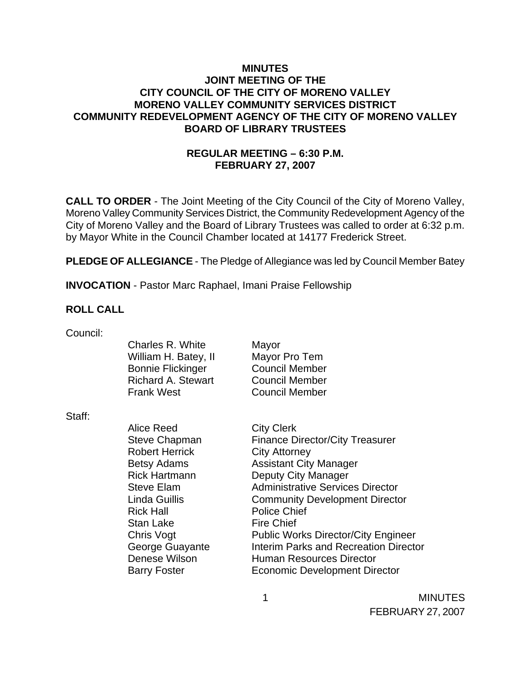### **MINUTES JOINT MEETING OF THE CITY COUNCIL OF THE CITY OF MORENO VALLEY MORENO VALLEY COMMUNITY SERVICES DISTRICT COMMUNITY REDEVELOPMENT AGENCY OF THE CITY OF MORENO VALLEY BOARD OF LIBRARY TRUSTEES**

# **REGULAR MEETING – 6:30 P.M. FEBRUARY 27, 2007**

**CALL TO ORDER** - The Joint Meeting of the City Council of the City of Moreno Valley, Moreno Valley Community Services District, the Community Redevelopment Agency of the City of Moreno Valley and the Board of Library Trustees was called to order at 6:32 p.m. by Mayor White in the Council Chamber located at 14177 Frederick Street.

**PLEDGE OF ALLEGIANCE** - The Pledge of Allegiance was led by Council Member Batey

**INVOCATION** - Pastor Marc Raphael, Imani Praise Fellowship

### **ROLL CALL**

| Council: | Charles R. White<br>William H. Batey, II<br><b>Bonnie Flickinger</b><br><b>Richard A. Stewart</b><br><b>Frank West</b>                                                                  | Mayor<br>Mayor Pro Tem<br><b>Council Member</b><br><b>Council Member</b><br><b>Council Member</b>                                                                                                                                                                           |
|----------|-----------------------------------------------------------------------------------------------------------------------------------------------------------------------------------------|-----------------------------------------------------------------------------------------------------------------------------------------------------------------------------------------------------------------------------------------------------------------------------|
| Staff:   | Alice Reed<br><b>Steve Chapman</b><br><b>Robert Herrick</b><br><b>Betsy Adams</b><br><b>Rick Hartmann</b><br><b>Steve Elam</b><br>Linda Guillis<br><b>Rick Hall</b><br><b>Stan Lake</b> | <b>City Clerk</b><br><b>Finance Director/City Treasurer</b><br><b>City Attorney</b><br><b>Assistant City Manager</b><br>Deputy City Manager<br><b>Administrative Services Director</b><br><b>Community Development Director</b><br><b>Police Chief</b><br><b>Fire Chief</b> |
|          | <b>Chris Vogt</b>                                                                                                                                                                       | <b>Public Works Director/City Engineer</b>                                                                                                                                                                                                                                  |

1 MINUTES FEBRUARY 27, 2007

Denese Wilson **Human Resources Director** Barry Foster **Economic Development Director** 

George Guayante **Interim Parks and Recreation Director**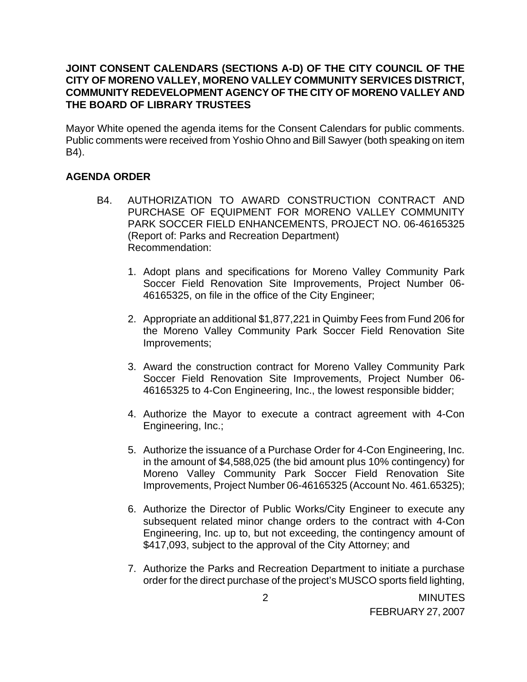### **JOINT CONSENT CALENDARS (SECTIONS A-D) OF THE CITY COUNCIL OF THE CITY OF MORENO VALLEY, MORENO VALLEY COMMUNITY SERVICES DISTRICT, COMMUNITY REDEVELOPMENT AGENCY OF THE CITY OF MORENO VALLEY AND THE BOARD OF LIBRARY TRUSTEES**

Mayor White opened the agenda items for the Consent Calendars for public comments. Public comments were received from Yoshio Ohno and Bill Sawyer (both speaking on item B4).

### **AGENDA ORDER**

- B4. AUTHORIZATION TO AWARD CONSTRUCTION CONTRACT AND PURCHASE OF EQUIPMENT FOR MORENO VALLEY COMMUNITY PARK SOCCER FIELD ENHANCEMENTS, PROJECT NO. 06-46165325 (Report of: Parks and Recreation Department) Recommendation:
	- 1. Adopt plans and specifications for Moreno Valley Community Park Soccer Field Renovation Site Improvements, Project Number 06- 46165325, on file in the office of the City Engineer;
	- 2. Appropriate an additional \$1,877,221 in Quimby Fees from Fund 206 for the Moreno Valley Community Park Soccer Field Renovation Site Improvements;
	- 3. Award the construction contract for Moreno Valley Community Park Soccer Field Renovation Site Improvements, Project Number 06- 46165325 to 4-Con Engineering, Inc., the lowest responsible bidder;
	- 4. Authorize the Mayor to execute a contract agreement with 4-Con Engineering, Inc.;
	- 5. Authorize the issuance of a Purchase Order for 4-Con Engineering, Inc. in the amount of \$4,588,025 (the bid amount plus 10% contingency) for Moreno Valley Community Park Soccer Field Renovation Site Improvements, Project Number 06-46165325 (Account No. 461.65325);
	- 6. Authorize the Director of Public Works/City Engineer to execute any subsequent related minor change orders to the contract with 4-Con Engineering, Inc. up to, but not exceeding, the contingency amount of \$417,093, subject to the approval of the City Attorney; and
	- 7. Authorize the Parks and Recreation Department to initiate a purchase order for the direct purchase of the project's MUSCO sports field lighting,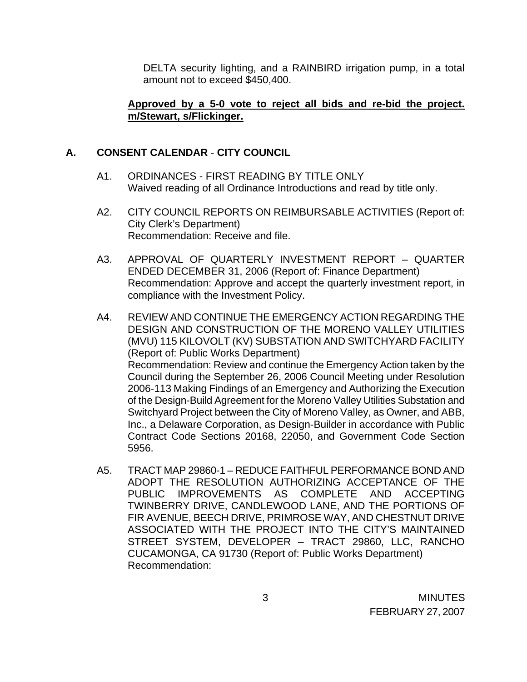DELTA security lighting, and a RAINBIRD irrigation pump, in a total amount not to exceed \$450,400.

#### **Approved by a 5-0 vote to reject all bids and re-bid the project. m/Stewart, s/Flickinger.**

### **A. CONSENT CALENDAR** - **CITY COUNCIL**

- A1. ORDINANCES FIRST READING BY TITLE ONLY Waived reading of all Ordinance Introductions and read by title only.
- A2. CITY COUNCIL REPORTS ON REIMBURSABLE ACTIVITIES (Report of: City Clerk's Department) Recommendation: Receive and file.
- A3. APPROVAL OF QUARTERLY INVESTMENT REPORT QUARTER ENDED DECEMBER 31, 2006 (Report of: Finance Department) Recommendation: Approve and accept the quarterly investment report, in compliance with the Investment Policy.
- A4. REVIEW AND CONTINUE THE EMERGENCY ACTION REGARDING THE DESIGN AND CONSTRUCTION OF THE MORENO VALLEY UTILITIES (MVU) 115 KILOVOLT (KV) SUBSTATION AND SWITCHYARD FACILITY (Report of: Public Works Department) Recommendation: Review and continue the Emergency Action taken by the Council during the September 26, 2006 Council Meeting under Resolution 2006-113 Making Findings of an Emergency and Authorizing the Execution of the Design-Build Agreement for the Moreno Valley Utilities Substation and Switchyard Project between the City of Moreno Valley, as Owner, and ABB, Inc., a Delaware Corporation, as Design-Builder in accordance with Public Contract Code Sections 20168, 22050, and Government Code Section 5956.
- A5. TRACT MAP 29860-1 REDUCE FAITHFUL PERFORMANCE BOND AND ADOPT THE RESOLUTION AUTHORIZING ACCEPTANCE OF THE PUBLIC IMPROVEMENTS AS COMPLETE AND ACCEPTING TWINBERRY DRIVE, CANDLEWOOD LANE, AND THE PORTIONS OF FIR AVENUE, BEECH DRIVE, PRIMROSE WAY, AND CHESTNUT DRIVE ASSOCIATED WITH THE PROJECT INTO THE CITY'S MAINTAINED STREET SYSTEM, DEVELOPER – TRACT 29860, LLC, RANCHO CUCAMONGA, CA 91730 (Report of: Public Works Department) Recommendation: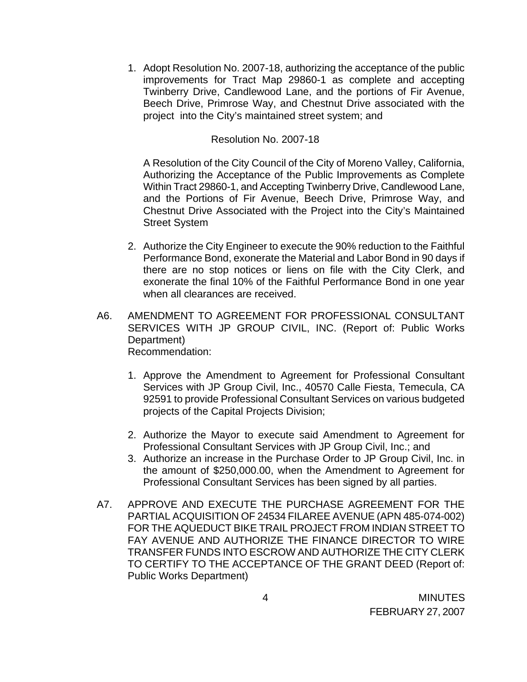1. Adopt Resolution No. 2007-18, authorizing the acceptance of the public improvements for Tract Map 29860-1 as complete and accepting Twinberry Drive, Candlewood Lane, and the portions of Fir Avenue, Beech Drive, Primrose Way, and Chestnut Drive associated with the project into the City's maintained street system; and

#### Resolution No. 2007-18

A Resolution of the City Council of the City of Moreno Valley, California, Authorizing the Acceptance of the Public Improvements as Complete Within Tract 29860-1, and Accepting Twinberry Drive, Candlewood Lane, and the Portions of Fir Avenue, Beech Drive, Primrose Way, and Chestnut Drive Associated with the Project into the City's Maintained Street System

- 2. Authorize the City Engineer to execute the 90% reduction to the Faithful Performance Bond, exonerate the Material and Labor Bond in 90 days if there are no stop notices or liens on file with the City Clerk, and exonerate the final 10% of the Faithful Performance Bond in one year when all clearances are received.
- A6. AMENDMENT TO AGREEMENT FOR PROFESSIONAL CONSULTANT SERVICES WITH JP GROUP CIVIL, INC. (Report of: Public Works Department) Recommendation:
	- 1. Approve the Amendment to Agreement for Professional Consultant Services with JP Group Civil, Inc., 40570 Calle Fiesta, Temecula, CA 92591 to provide Professional Consultant Services on various budgeted projects of the Capital Projects Division;
	- 2. Authorize the Mayor to execute said Amendment to Agreement for Professional Consultant Services with JP Group Civil, Inc.; and
	- 3. Authorize an increase in the Purchase Order to JP Group Civil, Inc. in the amount of \$250,000.00, when the Amendment to Agreement for Professional Consultant Services has been signed by all parties.
- A7. APPROVE AND EXECUTE THE PURCHASE AGREEMENT FOR THE PARTIAL ACQUISITION OF 24534 FILAREE AVENUE (APN 485-074-002) FOR THE AQUEDUCT BIKE TRAIL PROJECT FROM INDIAN STREET TO FAY AVENUE AND AUTHORIZE THE FINANCE DIRECTOR TO WIRE TRANSFER FUNDS INTO ESCROW AND AUTHORIZE THE CITY CLERK TO CERTIFY TO THE ACCEPTANCE OF THE GRANT DEED (Report of: Public Works Department)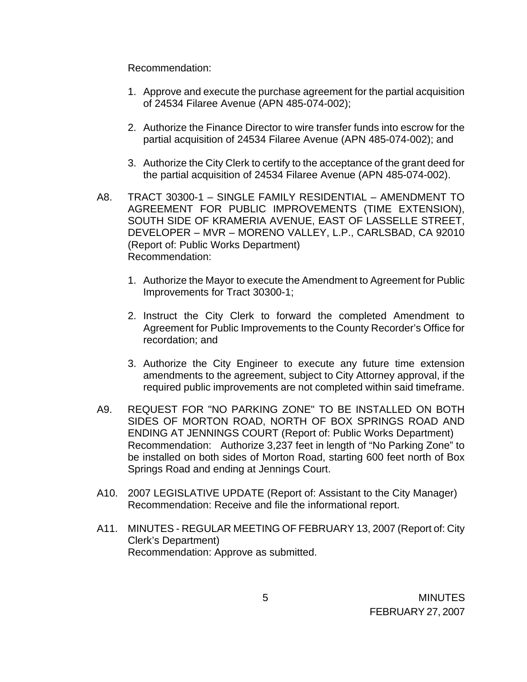Recommendation:

- 1. Approve and execute the purchase agreement for the partial acquisition of 24534 Filaree Avenue (APN 485-074-002);
- 2. Authorize the Finance Director to wire transfer funds into escrow for the partial acquisition of 24534 Filaree Avenue (APN 485-074-002); and
- 3. Authorize the City Clerk to certify to the acceptance of the grant deed for the partial acquisition of 24534 Filaree Avenue (APN 485-074-002).
- A8. TRACT 30300-1 SINGLE FAMILY RESIDENTIAL AMENDMENT TO AGREEMENT FOR PUBLIC IMPROVEMENTS (TIME EXTENSION), SOUTH SIDE OF KRAMERIA AVENUE, EAST OF LASSELLE STREET, DEVELOPER – MVR – MORENO VALLEY, L.P., CARLSBAD, CA 92010 (Report of: Public Works Department) Recommendation:
	- 1. Authorize the Mayor to execute the Amendment to Agreement for Public Improvements for Tract 30300-1;
	- 2. Instruct the City Clerk to forward the completed Amendment to Agreement for Public Improvements to the County Recorder's Office for recordation; and
	- 3. Authorize the City Engineer to execute any future time extension amendments to the agreement, subject to City Attorney approval, if the required public improvements are not completed within said timeframe.
- A9. REQUEST FOR "NO PARKING ZONE" TO BE INSTALLED ON BOTH SIDES OF MORTON ROAD, NORTH OF BOX SPRINGS ROAD AND ENDING AT JENNINGS COURT (Report of: Public Works Department) Recommendation: Authorize 3,237 feet in length of "No Parking Zone" to be installed on both sides of Morton Road, starting 600 feet north of Box Springs Road and ending at Jennings Court.
- A10. 2007 LEGISLATIVE UPDATE (Report of: Assistant to the City Manager) Recommendation: Receive and file the informational report.
- A11. MINUTES REGULAR MEETING OF FEBRUARY 13, 2007 (Report of: City Clerk's Department) Recommendation: Approve as submitted.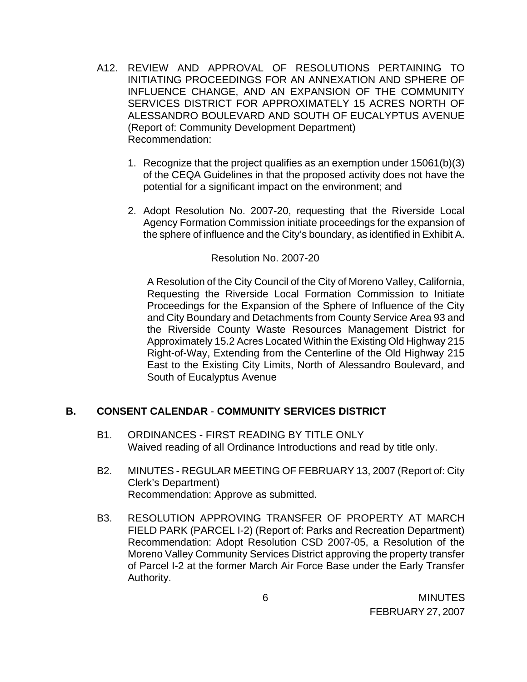- A12. REVIEW AND APPROVAL OF RESOLUTIONS PERTAINING TO INITIATING PROCEEDINGS FOR AN ANNEXATION AND SPHERE OF INFLUENCE CHANGE, AND AN EXPANSION OF THE COMMUNITY SERVICES DISTRICT FOR APPROXIMATELY 15 ACRES NORTH OF ALESSANDRO BOULEVARD AND SOUTH OF EUCALYPTUS AVENUE (Report of: Community Development Department) Recommendation:
	- 1. Recognize that the project qualifies as an exemption under 15061(b)(3) of the CEQA Guidelines in that the proposed activity does not have the potential for a significant impact on the environment; and
	- 2. Adopt Resolution No. 2007-20, requesting that the Riverside Local Agency Formation Commission initiate proceedings for the expansion of the sphere of influence and the City's boundary, as identified in Exhibit A.

### Resolution No. 2007-20

A Resolution of the City Council of the City of Moreno Valley, California, Requesting the Riverside Local Formation Commission to Initiate Proceedings for the Expansion of the Sphere of Influence of the City and City Boundary and Detachments from County Service Area 93 and the Riverside County Waste Resources Management District for Approximately 15.2 Acres Located Within the Existing Old Highway 215 Right-of-Way, Extending from the Centerline of the Old Highway 215 East to the Existing City Limits, North of Alessandro Boulevard, and South of Eucalyptus Avenue

### **B. CONSENT CALENDAR** - **COMMUNITY SERVICES DISTRICT**

- B1. ORDINANCES FIRST READING BY TITLE ONLY Waived reading of all Ordinance Introductions and read by title only.
- B2. MINUTES REGULAR MEETING OF FEBRUARY 13, 2007 (Report of: City Clerk's Department) Recommendation: Approve as submitted.
- B3. RESOLUTION APPROVING TRANSFER OF PROPERTY AT MARCH FIELD PARK (PARCEL I-2) (Report of: Parks and Recreation Department) Recommendation: Adopt Resolution CSD 2007-05, a Resolution of the Moreno Valley Community Services District approving the property transfer of Parcel I-2 at the former March Air Force Base under the Early Transfer Authority.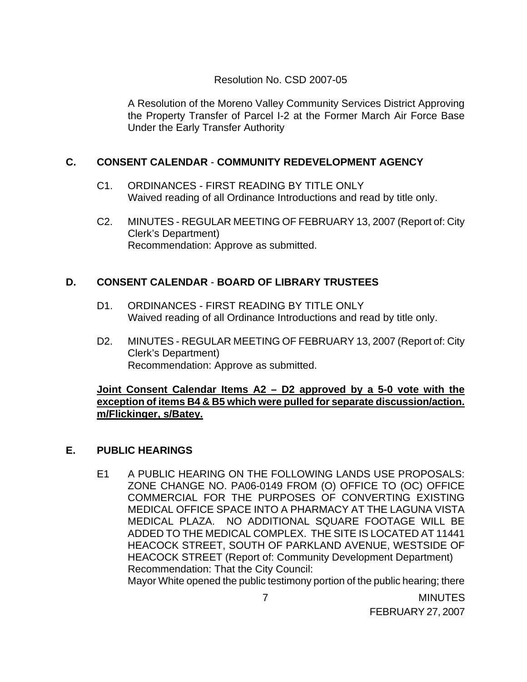### Resolution No. CSD 2007-05

A Resolution of the Moreno Valley Community Services District Approving the Property Transfer of Parcel I-2 at the Former March Air Force Base Under the Early Transfer Authority

## **C. CONSENT CALENDAR** - **COMMUNITY REDEVELOPMENT AGENCY**

- C1. ORDINANCES FIRST READING BY TITLE ONLY Waived reading of all Ordinance Introductions and read by title only.
- C2. MINUTES REGULAR MEETING OF FEBRUARY 13, 2007 (Report of: City Clerk's Department) Recommendation: Approve as submitted.

## **D. CONSENT CALENDAR** - **BOARD OF LIBRARY TRUSTEES**

- D1. ORDINANCES FIRST READING BY TITLE ONLY Waived reading of all Ordinance Introductions and read by title only.
- D2. MINUTES REGULAR MEETING OF FEBRUARY 13, 2007 (Report of: City Clerk's Department) Recommendation: Approve as submitted.

### **Joint Consent Calendar Items A2 – D2 approved by a 5-0 vote with the exception of items B4 & B5 which were pulled for separate discussion/action. m/Flickinger, s/Batey.**

### **E. PUBLIC HEARINGS**

E1 A PUBLIC HEARING ON THE FOLLOWING LANDS USE PROPOSALS: ZONE CHANGE NO. PA06-0149 FROM (O) OFFICE TO (OC) OFFICE COMMERCIAL FOR THE PURPOSES OF CONVERTING EXISTING MEDICAL OFFICE SPACE INTO A PHARMACY AT THE LAGUNA VISTA MEDICAL PLAZA. NO ADDITIONAL SQUARE FOOTAGE WILL BE ADDED TO THE MEDICAL COMPLEX. THE SITE IS LOCATED AT 11441 HEACOCK STREET, SOUTH OF PARKLAND AVENUE, WESTSIDE OF HEACOCK STREET (Report of: Community Development Department) Recommendation: That the City Council: Mayor White opened the public testimony portion of the public hearing; there

> 7 MINUTES FEBRUARY 27, 2007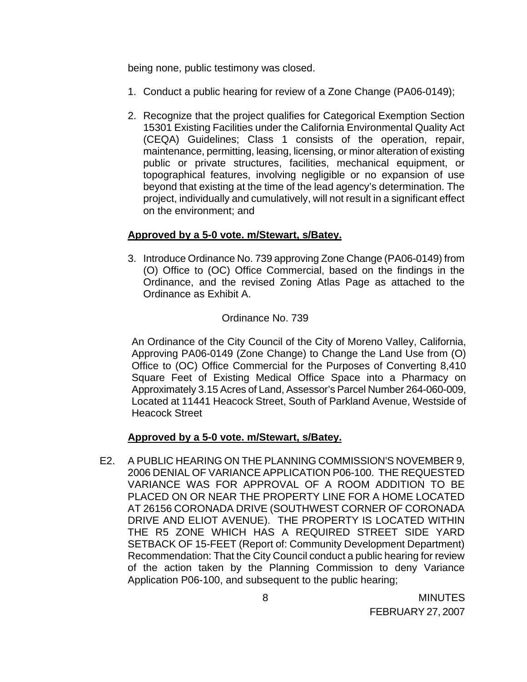being none, public testimony was closed.

- 1. Conduct a public hearing for review of a Zone Change (PA06-0149);
- 2. Recognize that the project qualifies for Categorical Exemption Section 15301 Existing Facilities under the California Environmental Quality Act (CEQA) Guidelines; Class 1 consists of the operation, repair, maintenance, permitting, leasing, licensing, or minor alteration of existing public or private structures, facilities, mechanical equipment, or topographical features, involving negligible or no expansion of use beyond that existing at the time of the lead agency's determination. The project, individually and cumulatively, will not result in a significant effect on the environment; and

### **Approved by a 5-0 vote. m/Stewart, s/Batey.**

3. Introduce Ordinance No. 739 approving Zone Change (PA06-0149) from (O) Office to (OC) Office Commercial, based on the findings in the Ordinance, and the revised Zoning Atlas Page as attached to the Ordinance as Exhibit A.

## Ordinance No. 739

An Ordinance of the City Council of the City of Moreno Valley, California, Approving PA06-0149 (Zone Change) to Change the Land Use from (O) Office to (OC) Office Commercial for the Purposes of Converting 8,410 Square Feet of Existing Medical Office Space into a Pharmacy on Approximately 3.15 Acres of Land, Assessor's Parcel Number 264-060-009, Located at 11441 Heacock Street, South of Parkland Avenue, Westside of Heacock Street

### **Approved by a 5-0 vote. m/Stewart, s/Batey.**

 E2. A PUBLIC HEARING ON THE PLANNING COMMISSION'S NOVEMBER 9, 2006 DENIAL OF VARIANCE APPLICATION P06-100. THE REQUESTED VARIANCE WAS FOR APPROVAL OF A ROOM ADDITION TO BE PLACED ON OR NEAR THE PROPERTY LINE FOR A HOME LOCATED AT 26156 CORONADA DRIVE (SOUTHWEST CORNER OF CORONADA DRIVE AND ELIOT AVENUE). THE PROPERTY IS LOCATED WITHIN THE R5 ZONE WHICH HAS A REQUIRED STREET SIDE YARD SETBACK OF 15-FEET (Report of: Community Development Department) Recommendation: That the City Council conduct a public hearing for review of the action taken by the Planning Commission to deny Variance Application P06-100, and subsequent to the public hearing;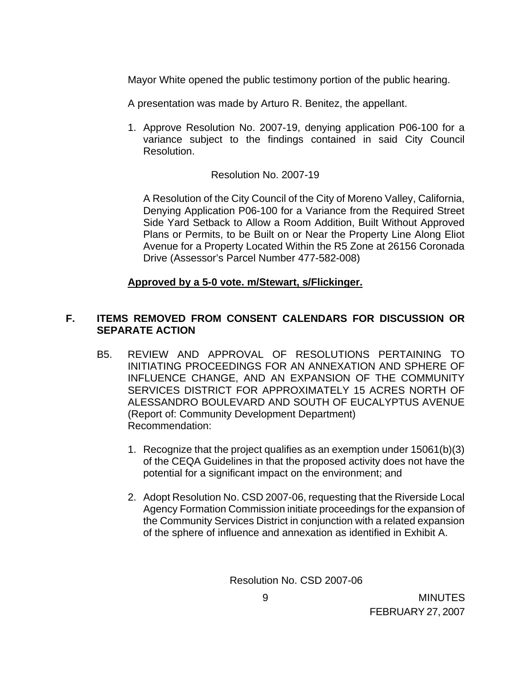Mayor White opened the public testimony portion of the public hearing.

- A presentation was made by Arturo R. Benitez, the appellant.
- 1. Approve Resolution No. 2007-19, denying application P06-100 for a variance subject to the findings contained in said City Council Resolution.

## Resolution No. 2007-19

A Resolution of the City Council of the City of Moreno Valley, California, Denying Application P06-100 for a Variance from the Required Street Side Yard Setback to Allow a Room Addition, Built Without Approved Plans or Permits, to be Built on or Near the Property Line Along Eliot Avenue for a Property Located Within the R5 Zone at 26156 Coronada Drive (Assessor's Parcel Number 477-582-008)

## **Approved by a 5-0 vote. m/Stewart, s/Flickinger.**

## **F. ITEMS REMOVED FROM CONSENT CALENDARS FOR DISCUSSION OR SEPARATE ACTION**

- B5. REVIEW AND APPROVAL OF RESOLUTIONS PERTAINING TO INITIATING PROCEEDINGS FOR AN ANNEXATION AND SPHERE OF INFLUENCE CHANGE, AND AN EXPANSION OF THE COMMUNITY SERVICES DISTRICT FOR APPROXIMATELY 15 ACRES NORTH OF ALESSANDRO BOULEVARD AND SOUTH OF EUCALYPTUS AVENUE (Report of: Community Development Department) Recommendation:
	- 1. Recognize that the project qualifies as an exemption under 15061(b)(3) of the CEQA Guidelines in that the proposed activity does not have the potential for a significant impact on the environment; and
	- 2. Adopt Resolution No. CSD 2007-06, requesting that the Riverside Local Agency Formation Commission initiate proceedings for the expansion of the Community Services District in conjunction with a related expansion of the sphere of influence and annexation as identified in Exhibit A.

Resolution No. CSD 2007-06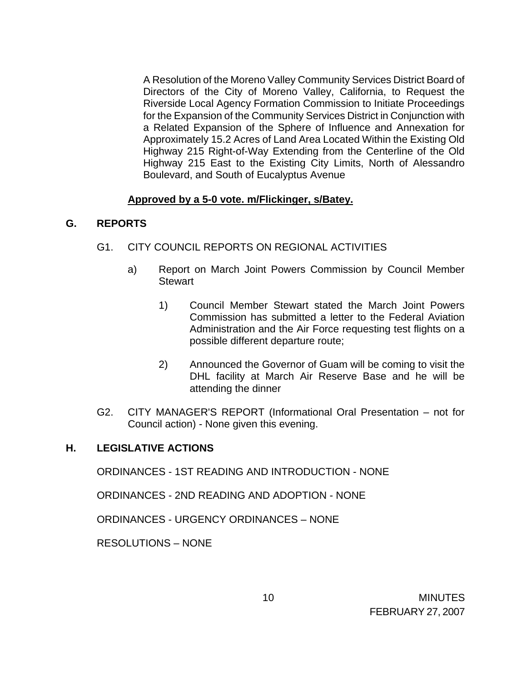A Resolution of the Moreno Valley Community Services District Board of Directors of the City of Moreno Valley, California, to Request the Riverside Local Agency Formation Commission to Initiate Proceedings for the Expansion of the Community Services District in Conjunction with a Related Expansion of the Sphere of Influence and Annexation for Approximately 15.2 Acres of Land Area Located Within the Existing Old Highway 215 Right-of-Way Extending from the Centerline of the Old Highway 215 East to the Existing City Limits, North of Alessandro Boulevard, and South of Eucalyptus Avenue

## **Approved by a 5-0 vote. m/Flickinger, s/Batey.**

## **G. REPORTS**

- G1. CITY COUNCIL REPORTS ON REGIONAL ACTIVITIES
	- a) Report on March Joint Powers Commission by Council Member **Stewart** 
		- 1) Council Member Stewart stated the March Joint Powers Commission has submitted a letter to the Federal Aviation Administration and the Air Force requesting test flights on a possible different departure route;
		- 2) Announced the Governor of Guam will be coming to visit the DHL facility at March Air Reserve Base and he will be attending the dinner
- G2. CITY MANAGER'S REPORT (Informational Oral Presentation not for Council action) - None given this evening.

# **H. LEGISLATIVE ACTIONS**

ORDINANCES - 1ST READING AND INTRODUCTION - NONE

ORDINANCES - 2ND READING AND ADOPTION - NONE

ORDINANCES - URGENCY ORDINANCES – NONE

RESOLUTIONS – NONE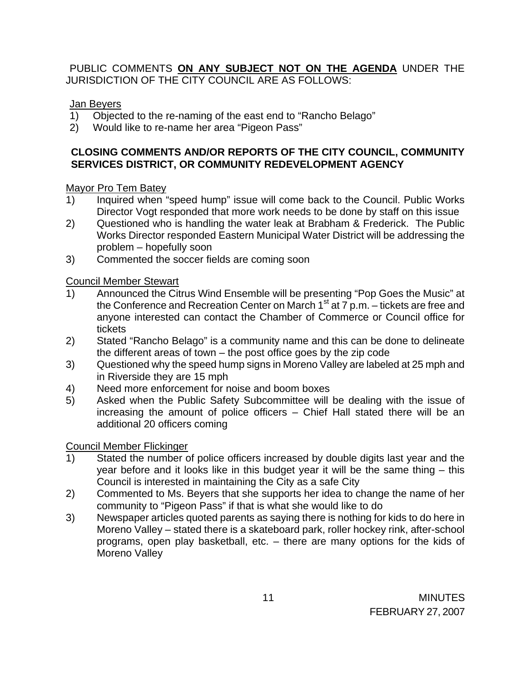# PUBLIC COMMENTS **ON ANY SUBJECT NOT ON THE AGENDA** UNDER THE JURISDICTION OF THE CITY COUNCIL ARE AS FOLLOWS:

## Jan Beyers

- 1) Objected to the re-naming of the east end to "Rancho Belago"
- 2) Would like to re-name her area "Pigeon Pass"

# **CLOSING COMMENTS AND/OR REPORTS OF THE CITY COUNCIL, COMMUNITY SERVICES DISTRICT, OR COMMUNITY REDEVELOPMENT AGENCY**

## Mayor Pro Tem Batey

- 1) Inquired when "speed hump" issue will come back to the Council. Public Works Director Vogt responded that more work needs to be done by staff on this issue
- 2) Questioned who is handling the water leak at Brabham & Frederick. The Public Works Director responded Eastern Municipal Water District will be addressing the problem – hopefully soon
- 3) Commented the soccer fields are coming soon

# Council Member Stewart

- 1) Announced the Citrus Wind Ensemble will be presenting "Pop Goes the Music" at the Conference and Recreation Center on March  $1<sup>st</sup>$  at  $7$  p.m. – tickets are free and anyone interested can contact the Chamber of Commerce or Council office for tickets
- 2) Stated "Rancho Belago" is a community name and this can be done to delineate the different areas of town – the post office goes by the zip code
- 3) Questioned why the speed hump signs in Moreno Valley are labeled at 25 mph and in Riverside they are 15 mph
- 4) Need more enforcement for noise and boom boxes
- 5) Asked when the Public Safety Subcommittee will be dealing with the issue of increasing the amount of police officers – Chief Hall stated there will be an additional 20 officers coming

### Council Member Flickinger

- 1) Stated the number of police officers increased by double digits last year and the year before and it looks like in this budget year it will be the same thing – this Council is interested in maintaining the City as a safe City
- 2) Commented to Ms. Beyers that she supports her idea to change the name of her community to "Pigeon Pass" if that is what she would like to do
- 3) Newspaper articles quoted parents as saying there is nothing for kids to do here in Moreno Valley – stated there is a skateboard park, roller hockey rink, after-school programs, open play basketball, etc. – there are many options for the kids of Moreno Valley